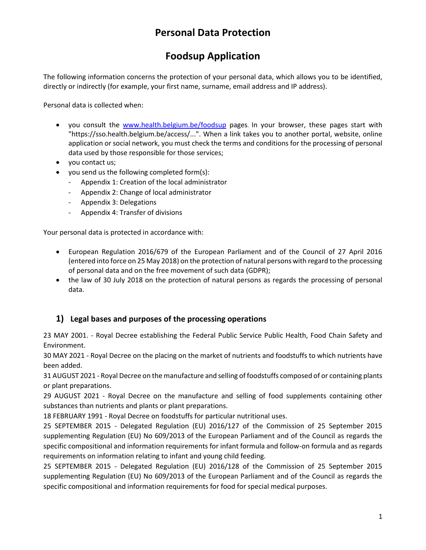# **Personal Data Protection**

# **Foodsup Application**

The following information concerns the protection of your personal data, which allows you to be identified, directly or indirectly (for example, your first name, surname, email address and IP address).

Personal data is collected when:

- you consult the [www.health.belgium.be/foodsup](http://www.health.belgium.be/foodsup) pages. In your browser, these pages start with "https://sso.health.belgium.be/access/...". When a link takes you to another portal, website, online application or social network, you must check the terms and conditions for the processing of personal data used by those responsible for those services;
- you contact us;
- you send us the following completed form(s):
	- Appendix 1: Creation of the local administrator
	- Appendix 2: Change of local administrator
	- Appendix 3: Delegations
	- Appendix 4: Transfer of divisions

Your personal data is protected in accordance with:

- European Regulation 2016/679 of the European Parliament and of the Council of 27 April 2016 (entered into force on 25 May 2018) on the protection of natural persons with regard to the processing of personal data and on the free movement of such data (GDPR);
- the law of 30 July 2018 on the protection of natural persons as regards the processing of personal data.

## **1) Legal bases and purposes of the processing operations**

23 MAY 2001. - Royal Decree establishing the Federal Public Service Public Health, Food Chain Safety and Environment.

30 MAY 2021 - Royal Decree on the placing on the market of nutrients and foodstuffs to which nutrients have been added.

31 AUGUST 2021 - Royal Decree on the manufacture and selling of foodstuffs composed of or containing plants or plant preparations.

29 AUGUST 2021 - Royal Decree on the manufacture and selling of food supplements containing other substances than nutrients and plants or plant preparations.

18 FEBRUARY 1991 - Royal Decree on foodstuffs for particular nutritional uses.

25 SEPTEMBER 2015 - Delegated Regulation (EU) 2016/127 of the Commission of 25 September 2015 supplementing Regulation (EU) No 609/2013 of the European Parliament and of the Council as regards the specific compositional and information requirements for infant formula and follow-on formula and as regards requirements on information relating to infant and young child feeding.

25 SEPTEMBER 2015 - Delegated Regulation (EU) 2016/128 of the Commission of 25 September 2015 supplementing Regulation (EU) No 609/2013 of the European Parliament and of the Council as regards the specific compositional and information requirements for food for special medical purposes.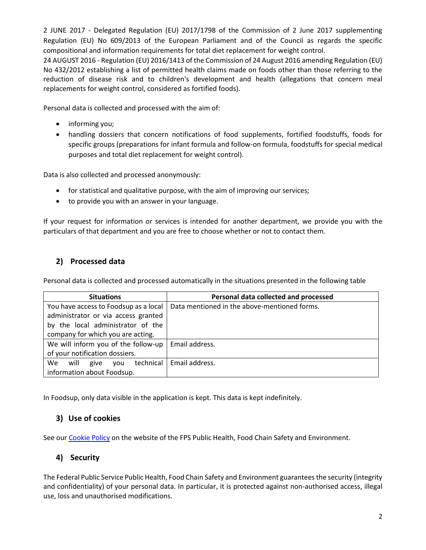2 JUNE 2017 - Delegated Regulation (EU) 2017/1798 of the Commission of 2 June 2017 supplementing Regulation (EU) No 609/2013 of the European Parliament and of the Council as regards the specific compositional and information requirements for total diet replacement for weight control.

24 AUGUST 2016 - Regulation (EU) 2016/1413 of the Commission of 24 August 2016 amending Regulation (EU) No 432/2012 establishing a list of permitted health claims made on foods other than those referring to the reduction of disease risk and to children's development and health (allegations that concern meal replacements for weight control, considered as fortified foods).

Personal data is collected and processed with the aim of:

- informing you;
- handling dossiers that concern notifications of food supplements, fortified foodstuffs, foods for specific groups (preparations for infant formula and follow-on formula, foodstuffs for special medical purposes and total diet replacement for weight control).

Data is also collected and processed anonymously:

- for statistical and qualitative purpose, with the aim of improving our services;
- to provide you with an answer in your language.

If your request for information or services is intended for another department, we provide you with the particulars of that department and you are free to choose whether or not to contact them.

## **2) Processed data**

Personal data is collected and processed automatically in the situations presented in the following table

| <b>Situations</b>                      | Personal data collected and processed        |
|----------------------------------------|----------------------------------------------|
| You have access to Foodsup as a local  | Data mentioned in the above-mentioned forms. |
| administrator or via access granted    |                                              |
| by the local administrator of the      |                                              |
| company for which you are acting.      |                                              |
| We will inform you of the follow-up    | Email address.                               |
| of your notification dossiers.         |                                              |
| technical<br>We<br>will<br>give<br>vou | Email address.                               |
| information about Foodsup.             |                                              |

In Foodsup, only data visible in the application is kept. This data is kept indefinitely.

## **3) Use of cookies**

See ou[r Cookie Policy](https://www.health.belgium.be/en/cookie-policy) on the website of the FPS Public Health, Food Chain Safety and Environment.

## **4) Security**

The Federal Public Service Public Health, Food Chain Safety and Environment guarantees the security (integrity and confidentiality) of your personal data. In particular, it is protected against non-authorised access, illegal use, loss and unauthorised modifications.